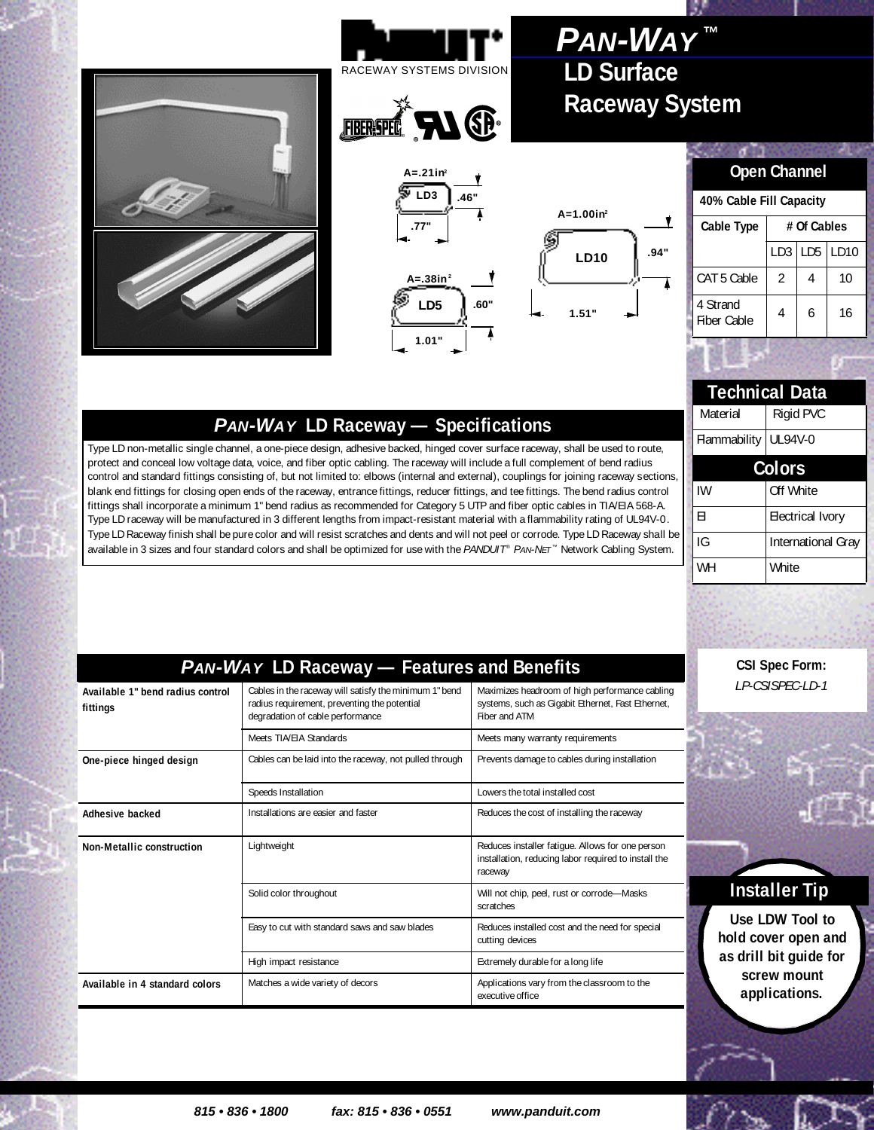## **LD Surface Raceway System** *PAN-WAY* **™**





# **A=1.00in2**Ý **.94" LD10**

#### **Open Channel**

**CORN** 

| 40% Cable Fill Capacity |             |   |              |  |
|-------------------------|-------------|---|--------------|--|
| Cable Type              | # Of Cables |   |              |  |
|                         | LD3         |   | $LD5$ $LD10$ |  |
| CAT 5 Cable             | 2           |   | 10           |  |
| 4 Strand<br>Fiber Cable | 4           | 6 | 16           |  |
|                         |             |   |              |  |

| <b>Technical Data</b> |                           |  |  |  |
|-----------------------|---------------------------|--|--|--|
| Material              | Rigid PVC                 |  |  |  |
| Flammability          | UL94V-0                   |  |  |  |
| Colors                |                           |  |  |  |
| IW                    | Off White                 |  |  |  |
| FI                    | <b>Electrical Ivory</b>   |  |  |  |
| IG                    | <b>International Gray</b> |  |  |  |
| WH                    | White                     |  |  |  |

# *PAN-WAY* **LD Raceway — Specifications**

Type LD non-metallic single channel, a one-piece design, adhesive backed, hinged cover surface raceway, shall be used to route, protect and conceal low voltage data, voice, and fiber optic cabling. The raceway will include a full complement of bend radius control and standard fittings consisting of, but not limited to: elbows (internal and external), couplings for joining raceway s ections, blank end fittings for closing open ends of the raceway, entrance fittings, reducer fittings, and tee fittings. The bend radius control fittings shall incorporate a minimum 1" bend radius as recommended for Category 5 UTP and fiber optic cables in TIA/EIA 568-A. Type LD raceway will be manufactured in 3 different lengths from impact-resistant material with a flammability rating of UL94V-0 . Type LD Raceway finish shall be pure color and will resist scratches and dents and will not peel or corrode. Type LD Raceway sha ll be available in 3 sizes and four standard colors and shall be optimized for use with the *PANDUIT* ® *PAN-NET* ™ Network Cabling System.

| <b>PAN-WAY LD Raceway - Features and Benefits</b> |                                                                                                                                            |                                                                                                                      |  |  |
|---------------------------------------------------|--------------------------------------------------------------------------------------------------------------------------------------------|----------------------------------------------------------------------------------------------------------------------|--|--|
| Available 1" bend radius control<br>fittings      | Cables in the raceway will satisfy the minimum 1" bend<br>radius requirement, preventing the potential<br>degradation of cable performance | Maximizes headroom of high performance cabling<br>systems, such as Gigabit Ethernet, Fast Ethernet,<br>Fiber and ATM |  |  |
|                                                   | Meets TIA/FIA Standards                                                                                                                    | Meets many warranty requirements                                                                                     |  |  |
| One-piece hinged design                           | Cables can be laid into the raceway, not pulled through                                                                                    | Prevents damage to cables during installation                                                                        |  |  |
|                                                   | Speeds Installation                                                                                                                        | Lowers the total installed cost                                                                                      |  |  |
| Adhesive backed                                   | Installations are easier and faster                                                                                                        | Reduces the cost of installing the raceway                                                                           |  |  |
| Non-Metallic construction                         | Lightweight                                                                                                                                | Reduces installer fatigue. Allows for one person<br>installation, reducing labor required to install the<br>raceway  |  |  |
|                                                   | Solid color throughout                                                                                                                     | Will not chip, peel, rust or corrode-Masks<br>scratches                                                              |  |  |
|                                                   | Easy to cut with standard saws and saw blades                                                                                              | Reduces installed cost and the need for special<br>cutting devices                                                   |  |  |
|                                                   | High impact resistance                                                                                                                     | Extremely durable for a long life                                                                                    |  |  |
| Available in 4 standard colors                    | Matches a wide variety of decors                                                                                                           | Applications vary from the classroom to the<br>executive office                                                      |  |  |

**CSI Spec Form:**  *LP-CSISPEC-LD-1*

### **Installer Tip**

**Use LDW Tool to hold cover open and as drill bit guide for screw mount applications.**

 *815 • 836 • 1800 fax: 815 • 836 • 0551 www.panduit.com*